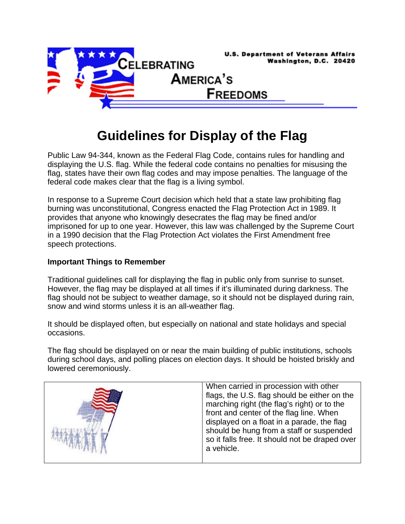

## **Guidelines for Display of the Flag**

Public Law 94-344, known as the Federal Flag Code, contains rules for handling and displaying the U.S. flag. While the federal code contains no penalties for misusing the flag, states have their own flag codes and may impose penalties. The language of the federal code makes clear that the flag is a living symbol.

In response to a Supreme Court decision which held that a state law prohibiting flag burning was unconstitutional, Congress enacted the Flag Protection Act in 1989. It provides that anyone who knowingly desecrates the flag may be fined and/or imprisoned for up to one year. However, this law was challenged by the Supreme Court in a 1990 decision that the Flag Protection Act violates the First Amendment free speech protections.

## **Important Things to Remember**

Traditional guidelines call for displaying the flag in public only from sunrise to sunset. However, the flag may be displayed at all times if it's illuminated during darkness. The flag should not be subject to weather damage, so it should not be displayed during rain, snow and wind storms unless it is an all-weather flag.

It should be displayed often, but especially on national and state holidays and special occasions.

The flag should be displayed on or near the main building of public institutions, schools during school days, and polling places on election days. It should be hoisted briskly and lowered ceremoniously.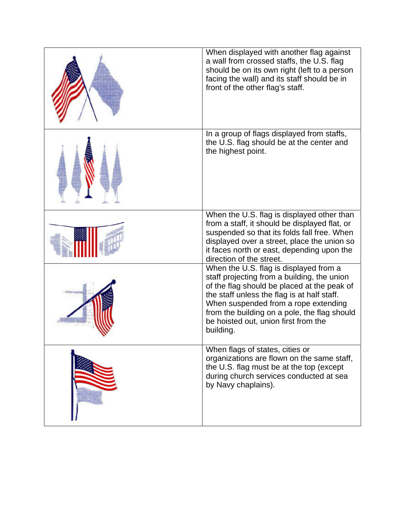| When displayed with another flag against<br>a wall from crossed staffs, the U.S. flag<br>should be on its own right (left to a person<br>facing the wall) and its staff should be in<br>front of the other flag's staff.                                                                                                         |
|----------------------------------------------------------------------------------------------------------------------------------------------------------------------------------------------------------------------------------------------------------------------------------------------------------------------------------|
| In a group of flags displayed from staffs,<br>the U.S. flag should be at the center and<br>the highest point.                                                                                                                                                                                                                    |
| When the U.S. flag is displayed other than<br>from a staff, it should be displayed flat, or<br>suspended so that its folds fall free. When<br>displayed over a street, place the union so<br>it faces north or east, depending upon the<br>direction of the street.                                                              |
| When the U.S. flag is displayed from a<br>staff projecting from a building, the union<br>of the flag should be placed at the peak of<br>the staff unless the flag is at half staff.<br>When suspended from a rope extending<br>from the building on a pole, the flag should<br>be hoisted out, union first from the<br>building. |
| When flags of states, cities or<br>organizations are flown on the same staff,<br>the U.S. flag must be at the top (except<br>during church services conducted at sea<br>by Navy chaplains).                                                                                                                                      |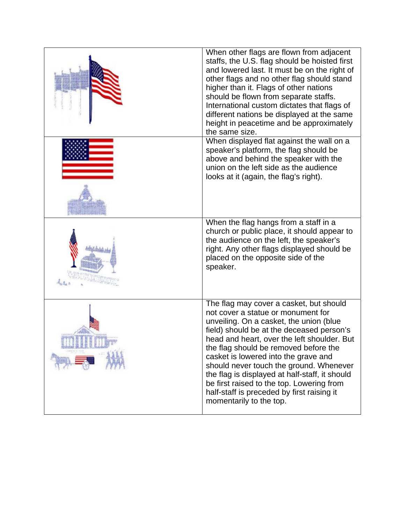| When other flags are flown from adjacent<br>staffs, the U.S. flag should be hoisted first<br>and lowered last. It must be on the right of<br>other flags and no other flag should stand<br>higher than it. Flags of other nations<br>should be flown from separate staffs.<br>International custom dictates that flags of<br>different nations be displayed at the same<br>height in peacetime and be approximately<br>the same size.                                                                                    |
|--------------------------------------------------------------------------------------------------------------------------------------------------------------------------------------------------------------------------------------------------------------------------------------------------------------------------------------------------------------------------------------------------------------------------------------------------------------------------------------------------------------------------|
| When displayed flat against the wall on a<br>speaker's platform, the flag should be<br>above and behind the speaker with the<br>union on the left side as the audience<br>looks at it (again, the flag's right).                                                                                                                                                                                                                                                                                                         |
| When the flag hangs from a staff in a<br>church or public place, it should appear to<br>the audience on the left, the speaker's<br>right. Any other flags displayed should be<br>placed on the opposite side of the<br>speaker.                                                                                                                                                                                                                                                                                          |
| The flag may cover a casket, but should<br>not cover a statue or monument for<br>unveiling. On a casket, the union (blue<br>field) should be at the deceased person's<br>head and heart, over the left shoulder. But<br>the flag should be removed before the<br>casket is lowered into the grave and<br>should never touch the ground. Whenever<br>the flag is displayed at half-staff, it should<br>be first raised to the top. Lowering from<br>half-staff is preceded by first raising it<br>momentarily to the top. |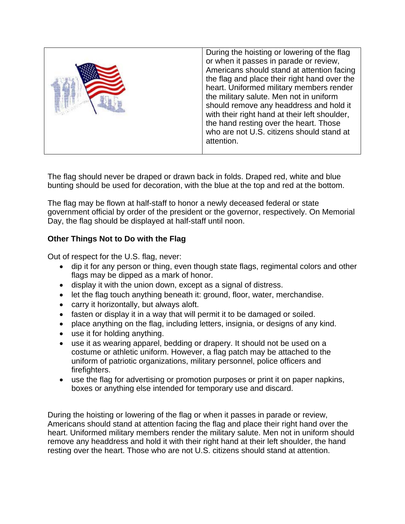|  | During the hoisting or lowering of the flag<br>or when it passes in parade or review,<br>Americans should stand at attention facing<br>the flag and place their right hand over the<br>heart. Uniformed military members render<br>the military salute. Men not in uniform<br>should remove any headdress and hold it<br>with their right hand at their left shoulder,<br>the hand resting over the heart. Those<br>who are not U.S. citizens should stand at<br>attention. |
|--|-----------------------------------------------------------------------------------------------------------------------------------------------------------------------------------------------------------------------------------------------------------------------------------------------------------------------------------------------------------------------------------------------------------------------------------------------------------------------------|
|--|-----------------------------------------------------------------------------------------------------------------------------------------------------------------------------------------------------------------------------------------------------------------------------------------------------------------------------------------------------------------------------------------------------------------------------------------------------------------------------|

The flag should never be draped or drawn back in folds. Draped red, white and blue bunting should be used for decoration, with the blue at the top and red at the bottom.

The flag may be flown at half-staff to honor a newly deceased federal or state government official by order of the president or the governor, respectively. On Memorial Day, the flag should be displayed at half-staff until noon.

## **Other Things Not to Do with the Flag**

Out of respect for the U.S. flag, never:

- dip it for any person or thing, even though state flags, regimental colors and other flags may be dipped as a mark of honor.
- display it with the union down, except as a signal of distress.
- let the flag touch anything beneath it: ground, floor, water, merchandise.
- carry it horizontally, but always aloft.
- fasten or display it in a way that will permit it to be damaged or soiled.
- place anything on the flag, including letters, insignia, or designs of any kind.
- use it for holding anything.
- use it as wearing apparel, bedding or drapery. It should not be used on a costume or athletic uniform. However, a flag patch may be attached to the uniform of patriotic organizations, military personnel, police officers and firefighters.
- use the flag for advertising or promotion purposes or print it on paper napkins, boxes or anything else intended for temporary use and discard.

During the hoisting or lowering of the flag or when it passes in parade or review, Americans should stand at attention facing the flag and place their right hand over the heart. Uniformed military members render the military salute. Men not in uniform should remove any headdress and hold it with their right hand at their left shoulder, the hand resting over the heart. Those who are not U.S. citizens should stand at attention.